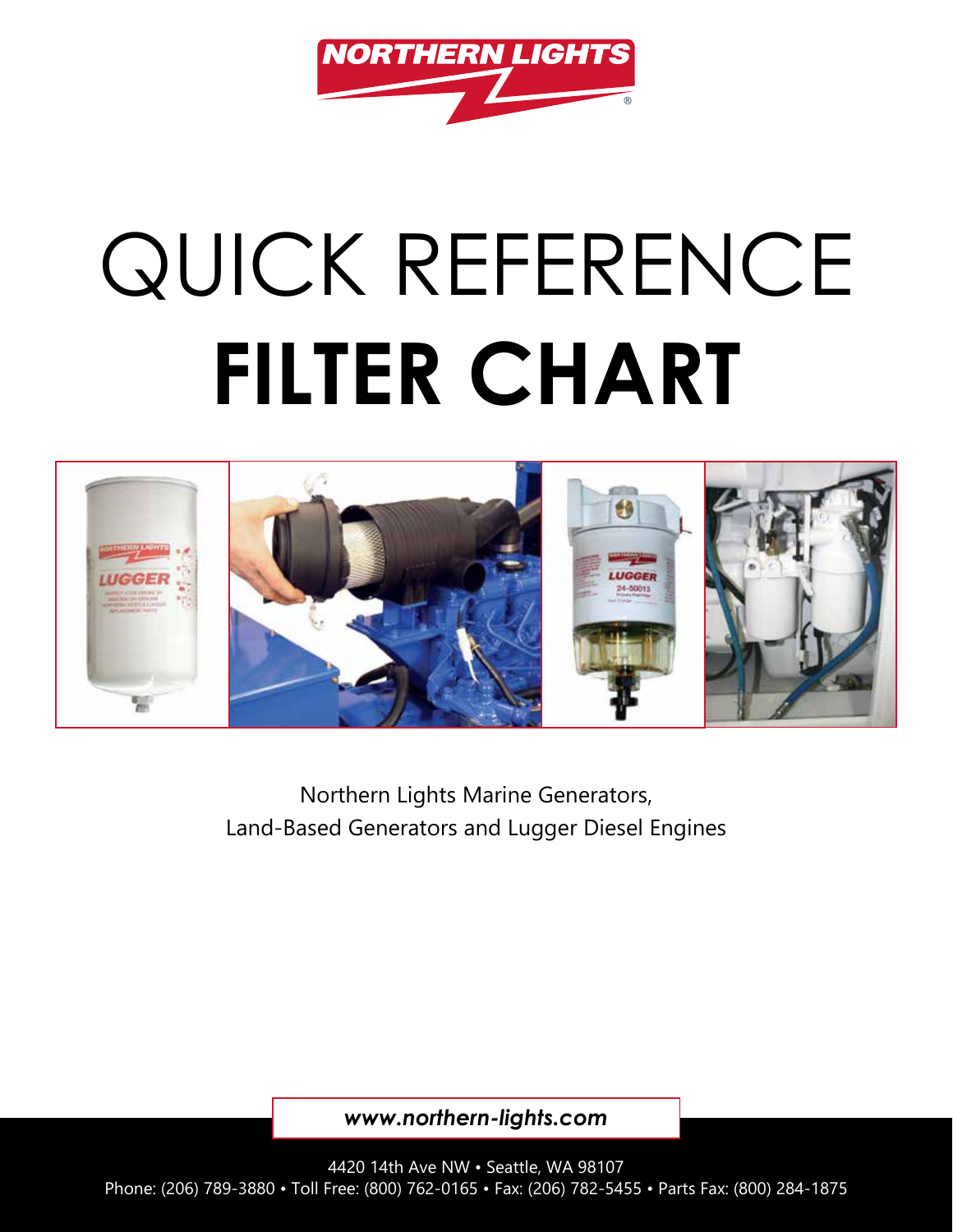

## QUICK REFERENCE **FILTER CHART**



Northern Lights Marine Generators, Land-Based Generators and Lugger Diesel Engines

*www.northern-lights.com*

4420 14th Ave NW • Seattle, WA 98107 Phone: (206) 789-3880 • Toll Free: (800) 762-0165 • Fax: (206) 782-5455 • Parts Fax: (800) 284-1875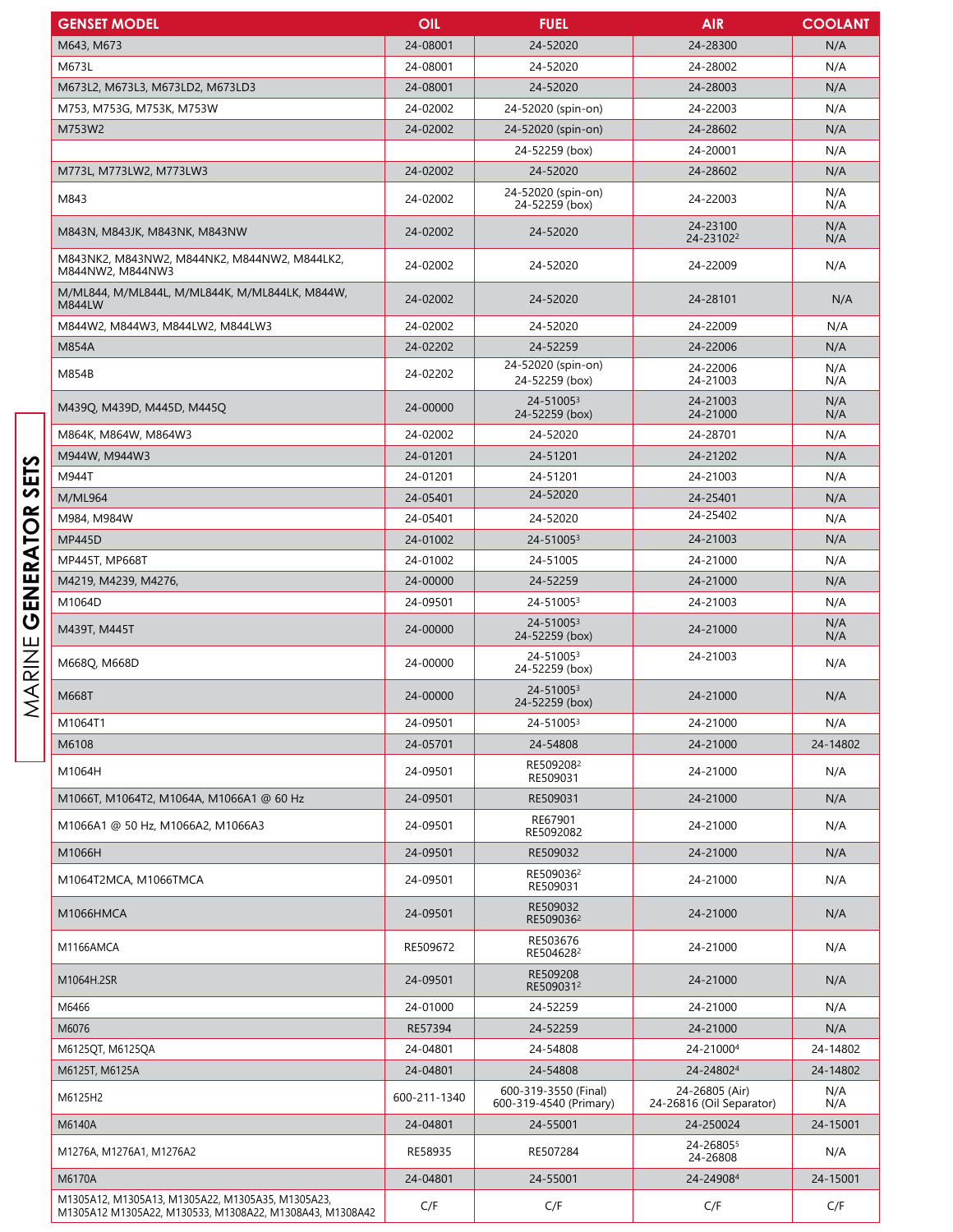| <b>GENSET MODEL</b>                                              | OIL          | <b>FUEL</b>                                    | <b>AIR</b>                                 | <b>COOLANT</b> |
|------------------------------------------------------------------|--------------|------------------------------------------------|--------------------------------------------|----------------|
| M643, M673                                                       | 24-08001     | 24-52020                                       | 24-28300                                   | N/A            |
| M673L                                                            | 24-08001     | 24-52020                                       | 24-28002                                   | N/A            |
| M673L2, M673L3, M673LD2, M673LD3                                 | 24-08001     | 24-52020                                       | 24-28003                                   | N/A            |
| M753, M753G, M753K, M753W                                        | 24-02002     | 24-52020 (spin-on)                             | 24-22003                                   | N/A            |
| M753W2                                                           | 24-02002     | 24-52020 (spin-on)                             | 24-28602                                   | N/A            |
|                                                                  |              | 24-52259 (box)                                 | 24-20001                                   | N/A            |
| M773L, M773LW2, M773LW3                                          | 24-02002     | 24-52020                                       | 24-28602                                   | N/A            |
|                                                                  | 24-02002     | 24-52020 (spin-on)                             |                                            | N/A            |
| M843                                                             |              | 24-52259 (box)                                 | 24-22003                                   | N/A            |
| M843N, M843JK, M843NK, M843NW                                    | 24-02002     | 24-52020                                       | 24-23100<br>24-231022                      | N/A<br>N/A     |
| M843NK2, M843NW2, M844NK2, M844NW2, M844LK2,<br>M844NW2, M844NW3 | 24-02002     | 24-52020                                       | 24-22009                                   | N/A            |
| M/ML844, M/ML844L, M/ML844K, M/ML844LK, M844W,<br>M844LW         | 24-02002     | 24-52020                                       | 24-28101                                   | N/A            |
| M844W2, M844W3, M844LW2, M844LW3                                 | 24-02002     | 24-52020                                       | 24-22009                                   | N/A            |
| M854A                                                            | 24-02202     | 24-52259                                       | 24-22006                                   | N/A            |
| M854B                                                            | 24-02202     | 24-52020 (spin-on)<br>24-52259 (box)           | 24-22006<br>24-21003                       | N/A<br>N/A     |
| M439Q, M439D, M445D, M445Q                                       | 24-00000     | 24-510053<br>24-52259 (box)                    | 24-21003<br>24-21000                       | N/A<br>N/A     |
| M864K, M864W, M864W3                                             | 24-02002     | 24-52020                                       | 24-28701                                   | N/A            |
| M944W, M944W3                                                    | 24-01201     | 24-51201                                       | 24-21202                                   | N/A            |
| M944T                                                            | 24-01201     | 24-51201                                       | 24-21003                                   | N/A            |
| M/ML964                                                          | 24-05401     | 24-52020                                       | 24-25401                                   | N/A            |
| M984, M984W                                                      | 24-05401     | 24-52020                                       | 24-25402                                   | N/A            |
| <b>MP445D</b>                                                    | 24-01002     | 24-510053                                      | 24-21003                                   | N/A            |
| MP445T, MP668T                                                   | 24-01002     | 24-51005                                       | 24-21000                                   | N/A            |
| M4219, M4239, M4276,                                             | 24-00000     | 24-52259                                       | 24-21000                                   | N/A            |
| M1064D                                                           | 24-09501     | 24-51005 <sup>3</sup>                          | 24-21003                                   | N/A            |
| M439T, M445T                                                     | 24-00000     | 24-510053<br>24-52259 (box)                    | 24-21000                                   | N/A<br>N/A     |
| M668Q, M668D                                                     | 24-00000     | 24-510053<br>24-52259 (box)                    | 24-21003                                   | N/A            |
| M668T                                                            | 24-00000     | 24-510053<br>24-52259 (box)                    | 24-21000                                   | N/A            |
| M1064T1                                                          | 24-09501     | 24-510053                                      | 24-21000                                   | N/A            |
| M6108                                                            | 24-05701     | 24-54808                                       | 24-21000                                   | 24-14802       |
| M1064H                                                           | 24-09501     | RE509208 <sup>2</sup><br>RE509031              | 24-21000                                   | N/A            |
| M1066T, M1064T2, M1064A, M1066A1 @ 60 Hz                         | 24-09501     | RE509031                                       | 24-21000                                   | N/A            |
| M1066A1 @ 50 Hz, M1066A2, M1066A3                                | 24-09501     | RE67901<br>RE5092082                           | 24-21000                                   | N/A            |
| M1066H                                                           | 24-09501     | RE509032                                       | 24-21000                                   | N/A            |
| M1064T2MCA, M1066TMCA                                            | 24-09501     | RE509036 <sup>2</sup><br>RE509031              | 24-21000                                   | N/A            |
| M1066HMCA                                                        | 24-09501     | RE509032<br>RE509036 <sup>2</sup>              | 24-21000                                   | N/A            |
| M1166AMCA                                                        | RE509672     | RE503676<br>RE504628 <sup>2</sup>              | 24-21000                                   | N/A            |
| M1064H.2SR                                                       | 24-09501     | RE509208<br>RE5090312                          | 24-21000                                   | N/A            |
| M6466                                                            | 24-01000     | 24-52259                                       | 24-21000                                   | N/A            |
| M6076                                                            | RE57394      | 24-52259                                       | 24-21000                                   | N/A            |
| M6125QT, M6125QA                                                 | 24-04801     | 24-54808                                       | 24-210004                                  | 24-14802       |
| M6125T, M6125A                                                   | 24-04801     | 24-54808                                       | 24-248024                                  | 24-14802       |
| M6125H2                                                          | 600-211-1340 | 600-319-3550 (Final)<br>600-319-4540 (Primary) | 24-26805 (Air)<br>24-26816 (Oil Separator) | N/A<br>N/A     |
| M6140A                                                           | 24-04801     | 24-55001                                       | 24-250024                                  | 24-15001       |
| M1276A, M1276A1, M1276A2                                         | RE58935      | RE507284                                       | 24-268055<br>24-26808                      | N/A            |
| M6170A                                                           | 24-04801     | 24-55001                                       | 24-249084                                  | 24-15001       |
| M1305A12, M1305A13, M1305A22, M1305A35, M1305A23,                |              |                                                |                                            |                |
| M1305A12 M1305A22, M130533, M1308A22, M1308A43, M1308A42         | C/F          | C/F                                            | C/F                                        | C/F            |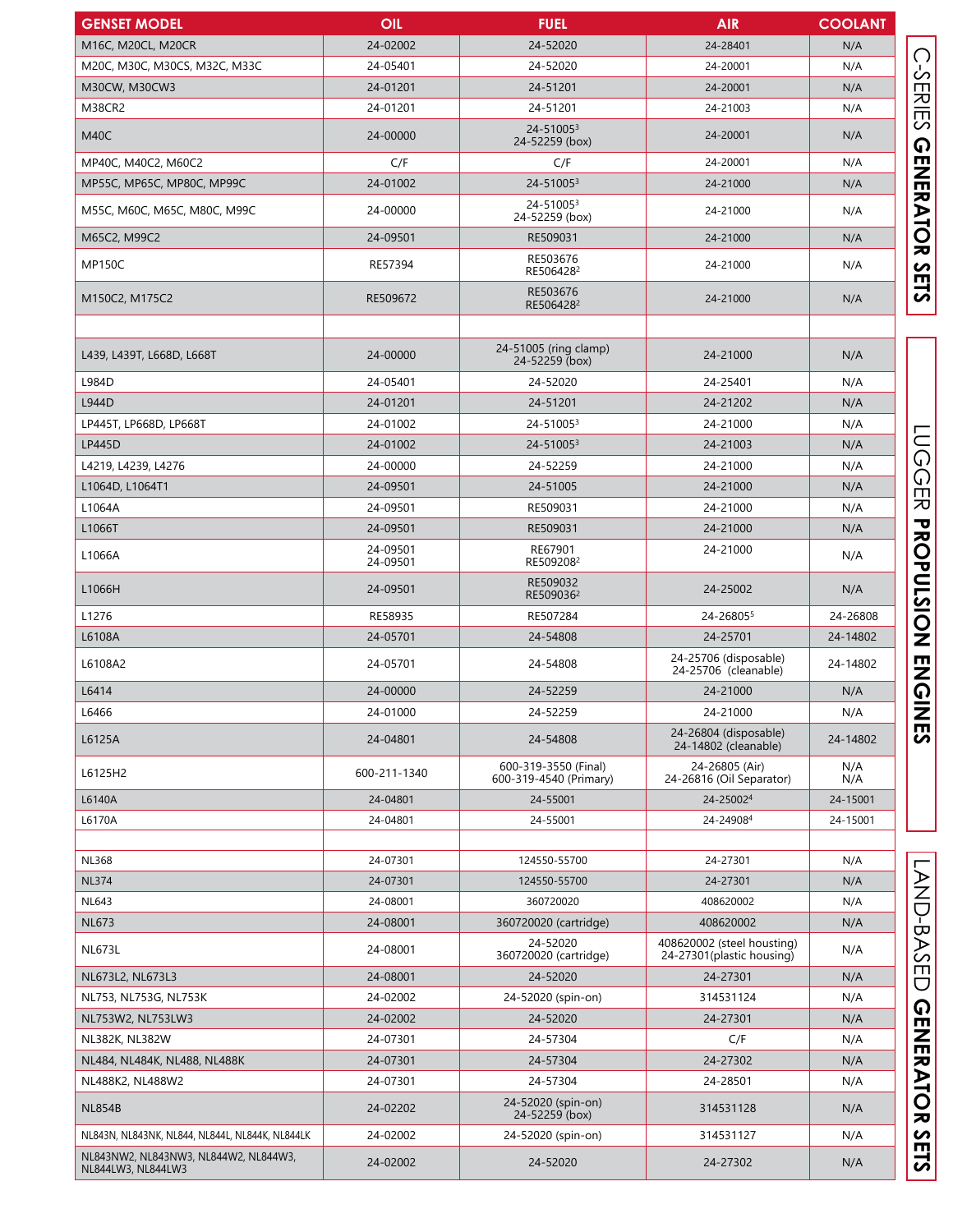| <b>GENSET MODEL</b>                                         | <b>OIL</b>           | <b>FUEL</b>                                    | <b>AIR</b>                                              | <b>COOLANT</b> |
|-------------------------------------------------------------|----------------------|------------------------------------------------|---------------------------------------------------------|----------------|
| M16C, M20CL, M20CR                                          | 24-02002             | 24-52020                                       | 24-28401                                                | N/A            |
| M20C, M30C, M30CS, M32C, M33C                               | 24-05401             | 24-52020                                       | 24-20001                                                | N/A            |
| M30CW, M30CW3                                               | 24-01201             | 24-51201                                       | 24-20001                                                | N/A            |
| <b>M38CR2</b>                                               | 24-01201             | 24-51201                                       | 24-21003                                                | N/A            |
| M40C                                                        | 24-00000             | 24-510053<br>24-52259 (box)                    | 24-20001                                                | N/A            |
| MP40C, M40C2, M60C2                                         | C/F                  | C/F                                            | 24-20001                                                | N/A            |
| MP55C, MP65C, MP80C, MP99C                                  | 24-01002             | 24-510053                                      | 24-21000                                                | N/A            |
| M55C, M60C, M65C, M80C, M99C                                | 24-00000             | 24-510053<br>24-52259 (box)                    | 24-21000                                                | N/A            |
| M65C2, M99C2                                                | 24-09501             | RE509031                                       | 24-21000                                                | N/A            |
| <b>MP150C</b>                                               | RE57394              | RE503676<br>RE5064282                          | 24-21000                                                | N/A            |
| M150C2, M175C2                                              | RE509672             | RE503676<br>RE506428 <sup>2</sup>              | 24-21000                                                | N/A            |
| L439, L439T, L668D, L668T                                   | 24-00000             | 24-51005 (ring clamp)<br>24-52259 (box)        | 24-21000                                                | N/A            |
| L984D                                                       | 24-05401             | 24-52020                                       | 24-25401                                                | N/A            |
| L944D                                                       | 24-01201             | 24-51201                                       | 24-21202                                                | N/A            |
| LP445T, LP668D, LP668T                                      | 24-01002             | 24-510053                                      | 24-21000                                                | N/A            |
| <b>LP445D</b>                                               | 24-01002             | 24-510053                                      | 24-21003                                                | N/A            |
| L4219, L4239, L4276                                         | 24-00000             | 24-52259                                       | 24-21000                                                | N/A            |
| L1064D, L1064T1                                             | 24-09501             | 24-51005                                       | 24-21000                                                | N/A            |
| L1064A                                                      | 24-09501             | RE509031                                       | 24-21000                                                | N/A            |
| L1066T                                                      | 24-09501             | RE509031                                       | 24-21000                                                | N/A            |
| L1066A                                                      | 24-09501<br>24-09501 | RE67901<br>RE5092082                           | 24-21000                                                | N/A            |
| L1066H                                                      | 24-09501             | RE509032<br>RE509036 <sup>2</sup>              | 24-25002                                                | N/A            |
| L1276                                                       | RE58935              | RE507284                                       | 24-268055                                               | 24-26808       |
| L6108A                                                      | 24-05701             | 24-54808                                       | 24-25701                                                | 24-14802       |
| L6108A2                                                     | 24-05701             | 24-54808                                       | 24-25706 (disposable)<br>24-25706 (cleanable)           | 24-14802       |
| L6414                                                       | 24-00000             | 24-52259                                       | 24-21000                                                | N/A            |
| L6466                                                       | 24-01000             | 24-52259                                       | 24-21000                                                | N/A            |
| L6125A                                                      | 24-04801             | 24-54808                                       | 24-26804 (disposable)<br>24-14802 (cleanable)           | 24-14802       |
| L6125H2                                                     | 600-211-1340         | 600-319-3550 (Final)<br>600-319-4540 (Primary) | 24-26805 (Air)<br>24-26816 (Oil Separator)              | N/A<br>N/A     |
| L6140A                                                      | 24-04801             | 24-55001                                       | 24-250024                                               | 24-15001       |
| L6170A                                                      | 24-04801             | 24-55001                                       | 24-249084                                               | 24-15001       |
| <b>NL368</b>                                                | 24-07301             | 124550-55700                                   | 24-27301                                                | N/A            |
| <b>NL374</b>                                                | 24-07301             | 124550-55700                                   | 24-27301                                                | N/A            |
| <b>NL643</b>                                                | 24-08001             | 360720020                                      | 408620002                                               | N/A            |
| <b>NL673</b>                                                | 24-08001             | 360720020 (cartridge)                          | 408620002                                               | N/A            |
| <b>NL673L</b>                                               | 24-08001             | 24-52020<br>360720020 (cartridge)              | 408620002 (steel housting)<br>24-27301(plastic housing) | N/A            |
| NL673L2, NL673L3                                            | 24-08001             | 24-52020                                       | 24-27301                                                | N/A            |
| NL753, NL753G, NL753K                                       | 24-02002             | 24-52020 (spin-on)                             | 314531124                                               | N/A            |
| NL753W2, NL753LW3                                           | 24-02002             | 24-52020                                       | 24-27301                                                | N/A            |
| NL382K, NL382W                                              | 24-07301             | 24-57304                                       | C/F                                                     | N/A            |
| NL484, NL484K, NL488, NL488K                                | 24-07301             | 24-57304                                       | 24-27302                                                | N/A            |
| NL488K2, NL488W2                                            | 24-07301             | 24-57304                                       | 24-28501                                                | N/A            |
| <b>NL854B</b>                                               | 24-02202             | 24-52020 (spin-on)<br>24-52259 (box)           | 314531128                                               | N/A            |
| NL843N, NL843NK, NL844, NL844L, NL844K, NL844LK             | 24-02002             | 24-52020 (spin-on)                             | 314531127                                               | N/A            |
| NL843NW2, NL843NW3, NL844W2, NL844W3,<br>NL844LW3, NL844LW3 | 24-02002             | 24-52020                                       | 24-27302                                                | N/A            |

C-SERIES GENERATOR SETS

**LUGGER PROPULSION ENGINES** 

**GENERATOR SETS LUGGER PROPULSION ENGINES** C-SERIES GENERATOR SESSES SESSES LAND-BASED GENERATOR SETS LAND-BASED